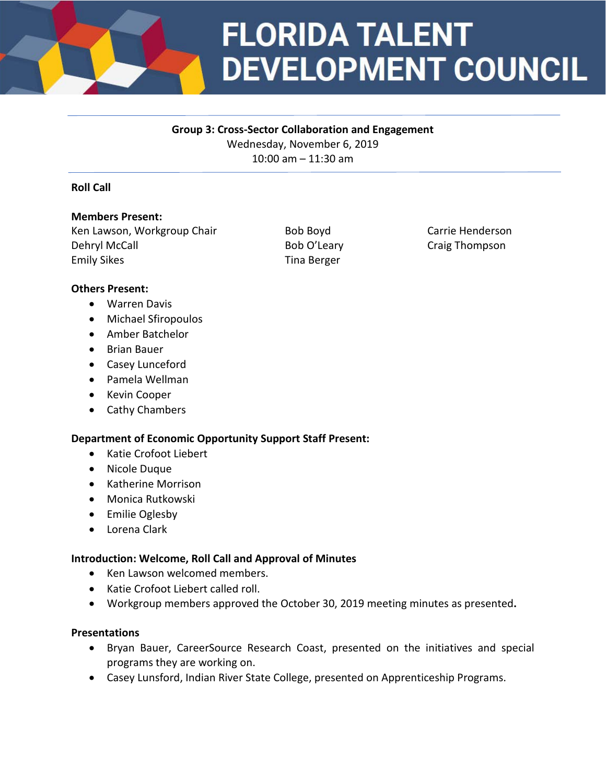

# **FLORIDA TALENT DEVELOPMENT COUNCIL**

## **Group 3: Cross-Sector Collaboration and Engagement**

Wednesday, November 6, 2019 10:00 am – 11:30 am

## **Roll Call**

## **Members Present:**

Ken Lawson, Workgroup Chair **Bob Boyd** Carrie Henderson Dehryl McCall **Bob O'Leary** Craig Thompson Bob O'Leary Emily Sikes Tina Berger

## **Others Present:**

- Warren Davis
- Michael Sfiropoulos
- Amber Batchelor
- Brian Bauer
- Casey Lunceford
- Pamela Wellman
- Kevin Cooper
- Cathy Chambers

## **Department of Economic Opportunity Support Staff Present:**

- Katie Crofoot Liebert
- Nicole Duque
- Katherine Morrison
- Monica Rutkowski
- Emilie Oglesby
- Lorena Clark

## **Introduction: Welcome, Roll Call and Approval of Minutes**

- Ken Lawson welcomed members.
- Katie Crofoot Liebert called roll.
- Workgroup members approved the October 30, 2019 meeting minutes as presented**.**

## **Presentations**

- Bryan Bauer, CareerSource Research Coast, presented on the initiatives and special programs they are working on.
- Casey Lunsford, Indian River State College, presented on Apprenticeship Programs.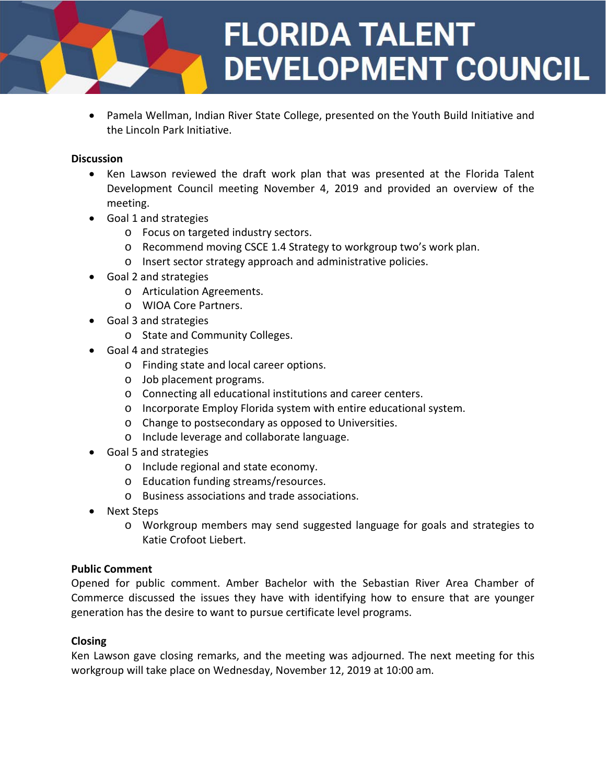

• Pamela Wellman, Indian River State College, presented on the Youth Build Initiative and the Lincoln Park Initiative.

#### **Discussion**

- Ken Lawson reviewed the draft work plan that was presented at the Florida Talent Development Council meeting November 4, 2019 and provided an overview of the meeting.
- Goal 1 and strategies
	- o Focus on targeted industry sectors.
	- o Recommend moving CSCE 1.4 Strategy to workgroup two's work plan.
	- o Insert sector strategy approach and administrative policies.
- Goal 2 and strategies
	- o Articulation Agreements.
	- o WIOA Core Partners.
- Goal 3 and strategies
	- o State and Community Colleges.
- Goal 4 and strategies
	- o Finding state and local career options.
	- o Job placement programs.
	- o Connecting all educational institutions and career centers.
	- o Incorporate Employ Florida system with entire educational system.
	- o Change to postsecondary as opposed to Universities.
	- o Include leverage and collaborate language.
- Goal 5 and strategies
	- o Include regional and state economy.
	- o Education funding streams/resources.
	- o Business associations and trade associations.
- Next Steps
	- o Workgroup members may send suggested language for goals and strategies to Katie Crofoot Liebert.

## **Public Comment**

Opened for public comment. Amber Bachelor with the Sebastian River Area Chamber of Commerce discussed the issues they have with identifying how to ensure that are younger generation has the desire to want to pursue certificate level programs.

## **Closing**

Ken Lawson gave closing remarks, and the meeting was adjourned. The next meeting for this workgroup will take place on Wednesday, November 12, 2019 at 10:00 am.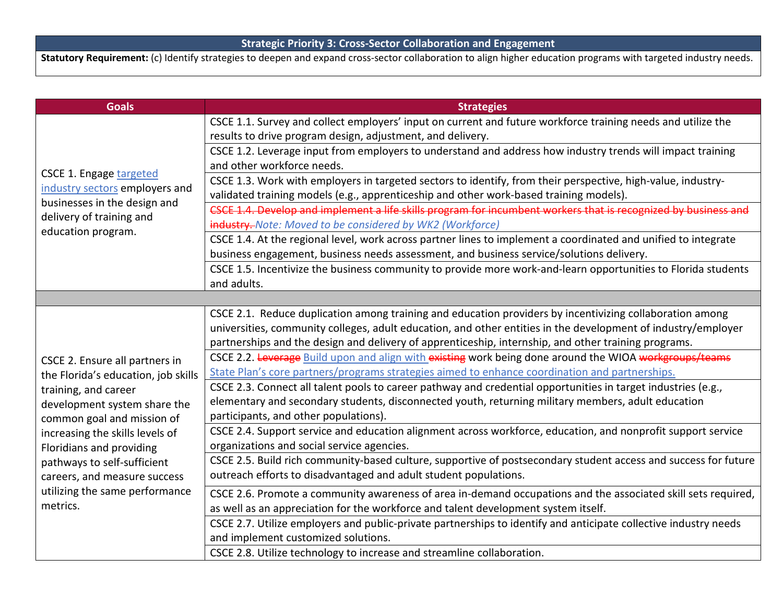**Statutory Requirement:** (c) Identify strategies to deepen and expand cross-sector collaboration to align higher education programs with targeted industry needs.

| <b>Goals</b>                                                                                                                                                                                                                                                                                                                            | <b>Strategies</b>                                                                                                                                          |
|-----------------------------------------------------------------------------------------------------------------------------------------------------------------------------------------------------------------------------------------------------------------------------------------------------------------------------------------|------------------------------------------------------------------------------------------------------------------------------------------------------------|
| CSCE 1. Engage targeted<br>industry sectors employers and<br>businesses in the design and<br>delivery of training and<br>education program.                                                                                                                                                                                             | CSCE 1.1. Survey and collect employers' input on current and future workforce training needs and utilize the                                               |
|                                                                                                                                                                                                                                                                                                                                         | results to drive program design, adjustment, and delivery.                                                                                                 |
|                                                                                                                                                                                                                                                                                                                                         | CSCE 1.2. Leverage input from employers to understand and address how industry trends will impact training                                                 |
|                                                                                                                                                                                                                                                                                                                                         | and other workforce needs.                                                                                                                                 |
|                                                                                                                                                                                                                                                                                                                                         | CSCE 1.3. Work with employers in targeted sectors to identify, from their perspective, high-value, industry-                                               |
|                                                                                                                                                                                                                                                                                                                                         | validated training models (e.g., apprenticeship and other work-based training models).                                                                     |
|                                                                                                                                                                                                                                                                                                                                         | CSCE 1.4. Develop and implement a life skills program for incumbent workers that is recognized by business and                                             |
|                                                                                                                                                                                                                                                                                                                                         | industry. Note: Moved to be considered by WK2 (Workforce)                                                                                                  |
|                                                                                                                                                                                                                                                                                                                                         | CSCE 1.4. At the regional level, work across partner lines to implement a coordinated and unified to integrate                                             |
|                                                                                                                                                                                                                                                                                                                                         | business engagement, business needs assessment, and business service/solutions delivery.                                                                   |
|                                                                                                                                                                                                                                                                                                                                         | CSCE 1.5. Incentivize the business community to provide more work-and-learn opportunities to Florida students                                              |
|                                                                                                                                                                                                                                                                                                                                         | and adults.                                                                                                                                                |
|                                                                                                                                                                                                                                                                                                                                         |                                                                                                                                                            |
| CSCE 2. Ensure all partners in<br>the Florida's education, job skills<br>training, and career<br>development system share the<br>common goal and mission of<br>increasing the skills levels of<br>Floridians and providing<br>pathways to self-sufficient<br>careers, and measure success<br>utilizing the same performance<br>metrics. | CSCE 2.1. Reduce duplication among training and education providers by incentivizing collaboration among                                                   |
|                                                                                                                                                                                                                                                                                                                                         | universities, community colleges, adult education, and other entities in the development of industry/employer                                              |
|                                                                                                                                                                                                                                                                                                                                         | partnerships and the design and delivery of apprenticeship, internship, and other training programs.                                                       |
|                                                                                                                                                                                                                                                                                                                                         | CSCE 2.2. Leverage Build upon and align with existing work being done around the WIOA workgroups/teams                                                     |
|                                                                                                                                                                                                                                                                                                                                         | State Plan's core partners/programs strategies aimed to enhance coordination and partnerships.                                                             |
|                                                                                                                                                                                                                                                                                                                                         | CSCE 2.3. Connect all talent pools to career pathway and credential opportunities in target industries (e.g.,                                              |
|                                                                                                                                                                                                                                                                                                                                         | elementary and secondary students, disconnected youth, returning military members, adult education                                                         |
|                                                                                                                                                                                                                                                                                                                                         | participants, and other populations).                                                                                                                      |
|                                                                                                                                                                                                                                                                                                                                         | CSCE 2.4. Support service and education alignment across workforce, education, and nonprofit support service<br>organizations and social service agencies. |
|                                                                                                                                                                                                                                                                                                                                         | CSCE 2.5. Build rich community-based culture, supportive of postsecondary student access and success for future                                            |
|                                                                                                                                                                                                                                                                                                                                         | outreach efforts to disadvantaged and adult student populations.                                                                                           |
|                                                                                                                                                                                                                                                                                                                                         |                                                                                                                                                            |
|                                                                                                                                                                                                                                                                                                                                         | CSCE 2.6. Promote a community awareness of area in-demand occupations and the associated skill sets required,                                              |
|                                                                                                                                                                                                                                                                                                                                         | as well as an appreciation for the workforce and talent development system itself.                                                                         |
|                                                                                                                                                                                                                                                                                                                                         | CSCE 2.7. Utilize employers and public-private partnerships to identify and anticipate collective industry needs                                           |
|                                                                                                                                                                                                                                                                                                                                         | and implement customized solutions.                                                                                                                        |
|                                                                                                                                                                                                                                                                                                                                         | CSCE 2.8. Utilize technology to increase and streamline collaboration.                                                                                     |